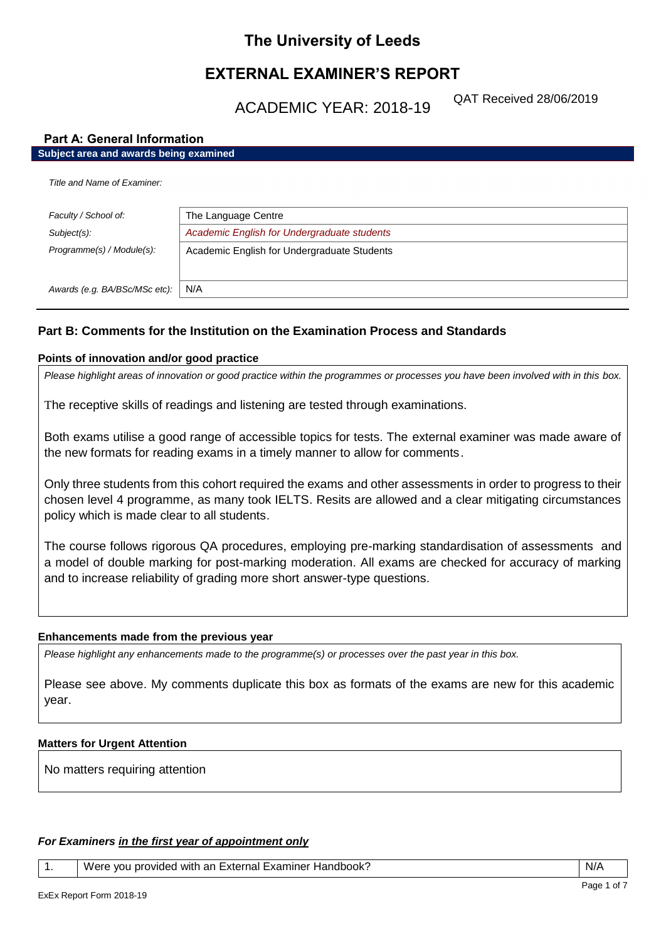# **The University of Leeds**

# **EXTERNAL EXAMINER'S REPORT**

ACADEMIC YEAR: 2018-19

QAT Received 28/06/2019

# **Part A: General Information**

*Awards (e.g. BA/BSc/MSc etc):* N/A

| Subject area and awards being examined |                                             |  |
|----------------------------------------|---------------------------------------------|--|
| Title and Name of Examiner:            |                                             |  |
| Faculty / School of:                   | The Language Centre                         |  |
| Subject(s):                            | Academic English for Undergraduate students |  |
| Programme(s) / Module(s):              | Academic English for Undergraduate Students |  |
|                                        |                                             |  |

# **Part B: Comments for the Institution on the Examination Process and Standards**

# **Points of innovation and/or good practice**

*Please highlight areas of innovation or good practice within the programmes or processes you have been involved with in this box.*

The receptive skills of readings and listening are tested through examinations.

Both exams utilise a good range of accessible topics for tests. The external examiner was made aware of the new formats for reading exams in a timely manner to allow for comments.

Only three students from this cohort required the exams and other assessments in order to progress to their chosen level 4 programme, as many took IELTS. Resits are allowed and a clear mitigating circumstances policy which is made clear to all students.

The course follows rigorous QA procedures, employing pre-marking standardisation of assessments and a model of double marking for post-marking moderation. All exams are checked for accuracy of marking and to increase reliability of grading more short answer-type questions.

## **Enhancements made from the previous year**

*Please highlight any enhancements made to the programme(s) or processes over the past year in this box.*

Please see above. My comments duplicate this box as formats of the exams are new for this academic year.

## **Matters for Urgent Attention**

No matters requiring attention

# *For Examiners in the first year of appointment only*

1. Vere you provided with an External Examiner Handbook? N/A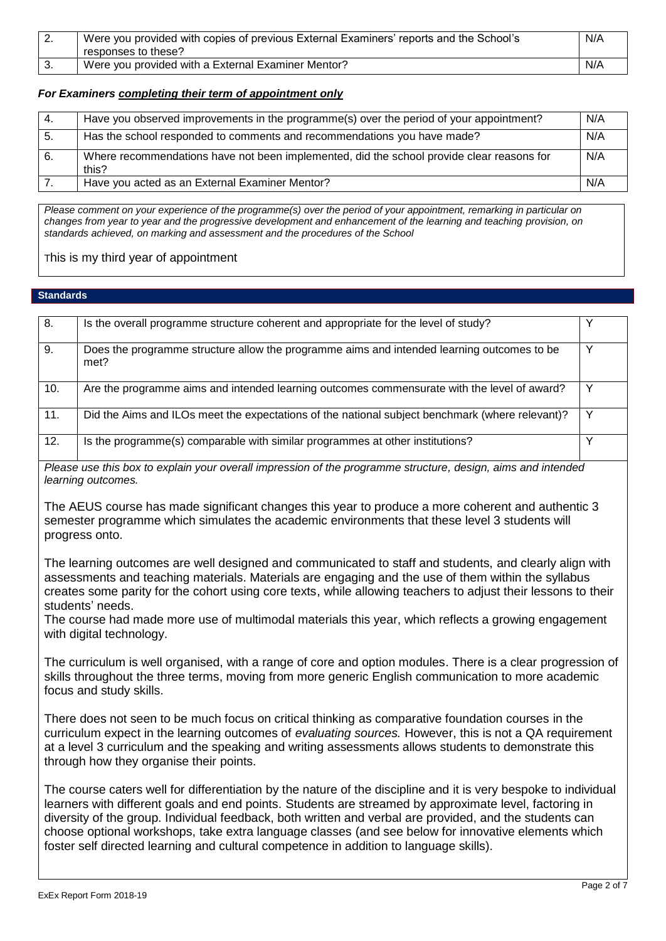| L. | Were you provided with copies of previous External Examiners' reports and the School's<br>responses to these? | N/A |
|----|---------------------------------------------------------------------------------------------------------------|-----|
|    | Were you provided with a External Examiner Mentor?                                                            | N/A |

## *For Examiners completing their term of appointment only*

| -4. | Have you observed improvements in the programme(s) over the period of your appointment?            | N/A |
|-----|----------------------------------------------------------------------------------------------------|-----|
| -5. | Has the school responded to comments and recommendations you have made?                            | N/A |
| 6.  | Where recommendations have not been implemented, did the school provide clear reasons for<br>this? | N/A |
|     | Have you acted as an External Examiner Mentor?                                                     | N/A |

*Please comment on your experience of the programme(s) over the period of your appointment, remarking in particular on changes from year to year and the progressive development and enhancement of the learning and teaching provision, on standards achieved, on marking and assessment and the procedures of the School*

This is my third year of appointment

## **Standards**

| 8.  | Is the overall programme structure coherent and appropriate for the level of study?                |  |
|-----|----------------------------------------------------------------------------------------------------|--|
| 9.  | Does the programme structure allow the programme aims and intended learning outcomes to be<br>met? |  |
| 10. | Are the programme aims and intended learning outcomes commensurate with the level of award?        |  |
| 11. | Did the Aims and ILOs meet the expectations of the national subject benchmark (where relevant)?    |  |
| 12. | Is the programme(s) comparable with similar programmes at other institutions?                      |  |

*Please use this box to explain your overall impression of the programme structure, design, aims and intended learning outcomes.*

The AEUS course has made significant changes this year to produce a more coherent and authentic 3 semester programme which simulates the academic environments that these level 3 students will progress onto.

The learning outcomes are well designed and communicated to staff and students, and clearly align with assessments and teaching materials. Materials are engaging and the use of them within the syllabus creates some parity for the cohort using core texts, while allowing teachers to adjust their lessons to their students' needs.

The course had made more use of multimodal materials this year, which reflects a growing engagement with digital technology.

The curriculum is well organised, with a range of core and option modules. There is a clear progression of skills throughout the three terms, moving from more generic English communication to more academic focus and study skills.

There does not seen to be much focus on critical thinking as comparative foundation courses in the curriculum expect in the learning outcomes of *evaluating sources.* However, this is not a QA requirement at a level 3 curriculum and the speaking and writing assessments allows students to demonstrate this through how they organise their points.

The course caters well for differentiation by the nature of the discipline and it is very bespoke to individual learners with different goals and end points. Students are streamed by approximate level, factoring in diversity of the group. Individual feedback, both written and verbal are provided, and the students can choose optional workshops, take extra language classes (and see below for innovative elements which foster self directed learning and cultural competence in addition to language skills).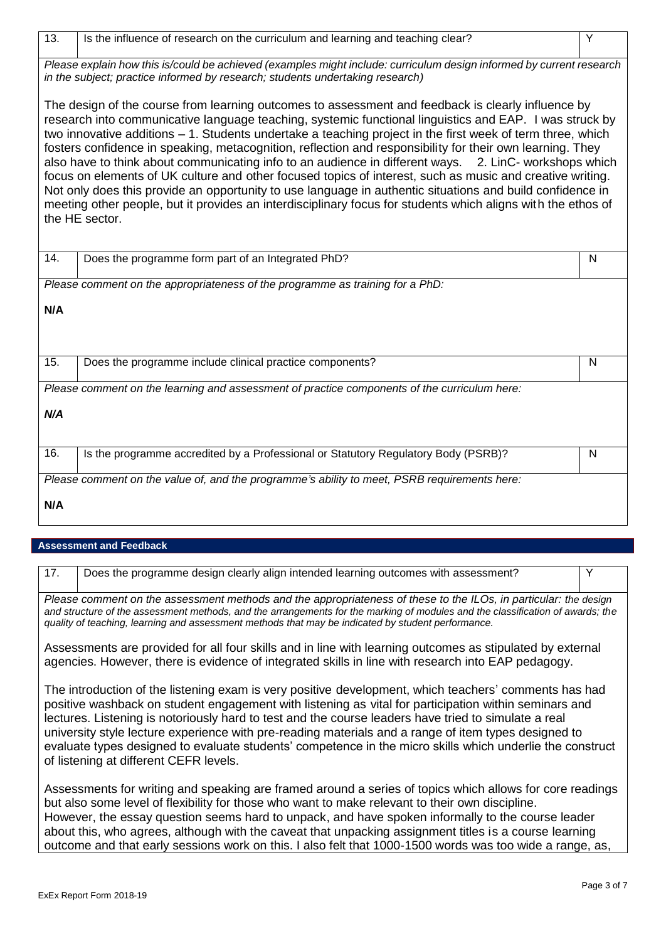| 13.<br>Is the influence of research on the curriculum and learning and teaching clear?                                                                                                                                                                                                                                                                                                                                                                                                                                                                                                                                                                                                                                                                                                                                                                                                                         | Y |  |  |
|----------------------------------------------------------------------------------------------------------------------------------------------------------------------------------------------------------------------------------------------------------------------------------------------------------------------------------------------------------------------------------------------------------------------------------------------------------------------------------------------------------------------------------------------------------------------------------------------------------------------------------------------------------------------------------------------------------------------------------------------------------------------------------------------------------------------------------------------------------------------------------------------------------------|---|--|--|
| Please explain how this is/could be achieved (examples might include: curriculum design informed by current research<br>in the subject; practice informed by research; students undertaking research)                                                                                                                                                                                                                                                                                                                                                                                                                                                                                                                                                                                                                                                                                                          |   |  |  |
| The design of the course from learning outcomes to assessment and feedback is clearly influence by<br>research into communicative language teaching, systemic functional linguistics and EAP. I was struck by<br>two innovative additions - 1. Students undertake a teaching project in the first week of term three, which<br>fosters confidence in speaking, metacognition, reflection and responsibility for their own learning. They<br>also have to think about communicating info to an audience in different ways. 2. LinC- workshops which<br>focus on elements of UK culture and other focused topics of interest, such as music and creative writing.<br>Not only does this provide an opportunity to use language in authentic situations and build confidence in<br>meeting other people, but it provides an interdisciplinary focus for students which aligns with the ethos of<br>the HE sector. |   |  |  |
| 14.<br>Does the programme form part of an Integrated PhD?                                                                                                                                                                                                                                                                                                                                                                                                                                                                                                                                                                                                                                                                                                                                                                                                                                                      | N |  |  |
| Please comment on the appropriateness of the programme as training for a PhD:                                                                                                                                                                                                                                                                                                                                                                                                                                                                                                                                                                                                                                                                                                                                                                                                                                  |   |  |  |
| N/A                                                                                                                                                                                                                                                                                                                                                                                                                                                                                                                                                                                                                                                                                                                                                                                                                                                                                                            |   |  |  |
| 15.<br>Does the programme include clinical practice components?                                                                                                                                                                                                                                                                                                                                                                                                                                                                                                                                                                                                                                                                                                                                                                                                                                                | N |  |  |
| Please comment on the learning and assessment of practice components of the curriculum here:                                                                                                                                                                                                                                                                                                                                                                                                                                                                                                                                                                                                                                                                                                                                                                                                                   |   |  |  |
| N/A                                                                                                                                                                                                                                                                                                                                                                                                                                                                                                                                                                                                                                                                                                                                                                                                                                                                                                            |   |  |  |
| $\overline{16}$ .<br>Is the programme accredited by a Professional or Statutory Regulatory Body (PSRB)?                                                                                                                                                                                                                                                                                                                                                                                                                                                                                                                                                                                                                                                                                                                                                                                                        | N |  |  |
| Please comment on the value of, and the programme's ability to meet, PSRB requirements here:                                                                                                                                                                                                                                                                                                                                                                                                                                                                                                                                                                                                                                                                                                                                                                                                                   |   |  |  |
| N/A                                                                                                                                                                                                                                                                                                                                                                                                                                                                                                                                                                                                                                                                                                                                                                                                                                                                                                            |   |  |  |

# **Assessment and Feedback**

| 17.                                                                                                                                                                                                                                                                                                                                                                                                                                                                                                                                                                                   | Does the programme design clearly align intended learning outcomes with assessment? | Υ |
|---------------------------------------------------------------------------------------------------------------------------------------------------------------------------------------------------------------------------------------------------------------------------------------------------------------------------------------------------------------------------------------------------------------------------------------------------------------------------------------------------------------------------------------------------------------------------------------|-------------------------------------------------------------------------------------|---|
| Please comment on the assessment methods and the appropriateness of these to the ILOs, in particular: the design<br>and structure of the assessment methods, and the arrangements for the marking of modules and the classification of awards; the<br>quality of teaching, learning and assessment methods that may be indicated by student performance.                                                                                                                                                                                                                              |                                                                                     |   |
| Assessments are provided for all four skills and in line with learning outcomes as stipulated by external<br>agencies. However, there is evidence of integrated skills in line with research into EAP pedagogy.                                                                                                                                                                                                                                                                                                                                                                       |                                                                                     |   |
| The introduction of the listening exam is very positive development, which teachers' comments has had<br>positive washback on student engagement with listening as vital for participation within seminars and<br>lectures. Listening is notoriously hard to test and the course leaders have tried to simulate a real<br>university style lecture experience with pre-reading materials and a range of item types designed to<br>evaluate types designed to evaluate students' competence in the micro skills which underlie the construct<br>of listening at different CEFR levels. |                                                                                     |   |
| Assessments for writing and speaking are framed around a series of topics which allows for core readings<br>but also some level of flexibility for those who want to make relevant to their own discipline.<br>However, the essay question seems hard to unpack, and have spoken informally to the course leader<br>about this, who agrees, although with the caveat that unpacking assignment titles is a course learning                                                                                                                                                            |                                                                                     |   |

outcome and that early sessions work on this. I also felt that 1000-1500 words was too wide a range, as,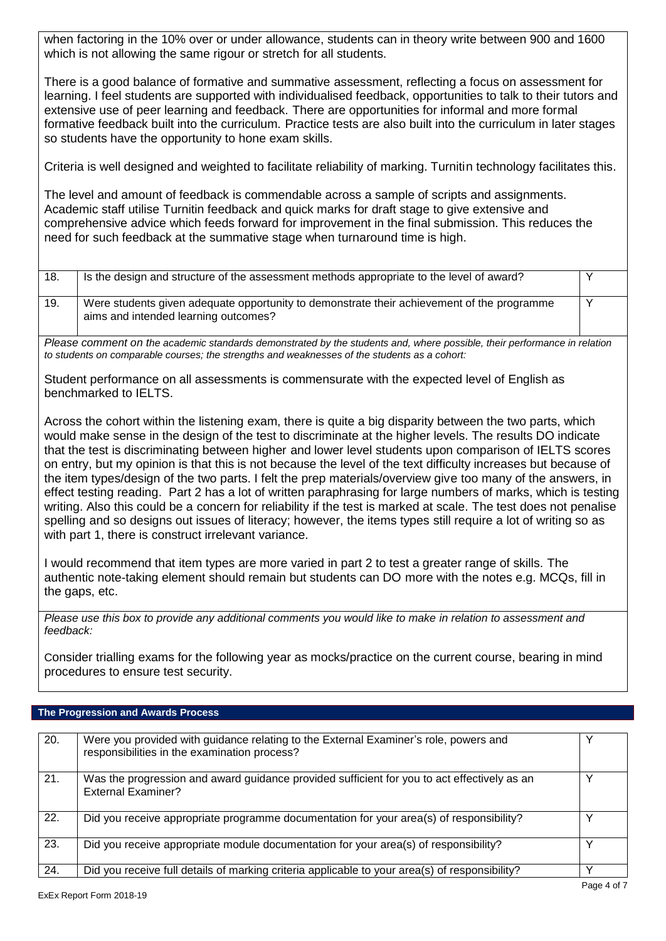when factoring in the 10% over or under allowance, students can in theory write between 900 and 1600 which is not allowing the same rigour or stretch for all students.

There is a good balance of formative and summative assessment, reflecting a focus on assessment for learning. I feel students are supported with individualised feedback, opportunities to talk to their tutors and extensive use of peer learning and feedback. There are opportunities for informal and more formal formative feedback built into the curriculum. Practice tests are also built into the curriculum in later stages so students have the opportunity to hone exam skills.

Criteria is well designed and weighted to facilitate reliability of marking. Turnitin technology facilitates this.

The level and amount of feedback is commendable across a sample of scripts and assignments. Academic staff utilise Turnitin feedback and quick marks for draft stage to give extensive and comprehensive advice which feeds forward for improvement in the final submission. This reduces the need for such feedback at the summative stage when turnaround time is high.

| 18. | Is the design and structure of the assessment methods appropriate to the level of award?                                           |  |
|-----|------------------------------------------------------------------------------------------------------------------------------------|--|
| 19. | Were students given adequate opportunity to demonstrate their achievement of the programme<br>aims and intended learning outcomes? |  |

*Please comment on the academic standards demonstrated by the students and, where possible, their performance in relation to students on comparable courses; the strengths and weaknesses of the students as a cohort:*

Student performance on all assessments is commensurate with the expected level of English as benchmarked to IELTS.

Across the cohort within the listening exam, there is quite a big disparity between the two parts, which would make sense in the design of the test to discriminate at the higher levels. The results DO indicate that the test is discriminating between higher and lower level students upon comparison of IELTS scores on entry, but my opinion is that this is not because the level of the text difficulty increases but because of the item types/design of the two parts. I felt the prep materials/overview give too many of the answers, in effect testing reading. Part 2 has a lot of written paraphrasing for large numbers of marks, which is testing writing. Also this could be a concern for reliability if the test is marked at scale. The test does not penalise spelling and so designs out issues of literacy; however, the items types still require a lot of writing so as with part 1, there is construct irrelevant variance.

I would recommend that item types are more varied in part 2 to test a greater range of skills. The authentic note-taking element should remain but students can DO more with the notes e.g. MCQs, fill in the gaps, etc.

*Please use this box to provide any additional comments you would like to make in relation to assessment and feedback:*

Consider trialling exams for the following year as mocks/practice on the current course, bearing in mind procedures to ensure test security.

# **The Progression and Awards Process**

| 20. | Were you provided with guidance relating to the External Examiner's role, powers and<br>responsibilities in the examination process? |              |
|-----|--------------------------------------------------------------------------------------------------------------------------------------|--------------|
| 21. | Was the progression and award guidance provided sufficient for you to act effectively as an<br>External Examiner?                    | v            |
| 22. | Did you receive appropriate programme documentation for your area(s) of responsibility?                                              |              |
| 23. | Did you receive appropriate module documentation for your area(s) of responsibility?                                                 | $\checkmark$ |
| 24. | Did you receive full details of marking criteria applicable to your area(s) of responsibility?                                       | $\checkmark$ |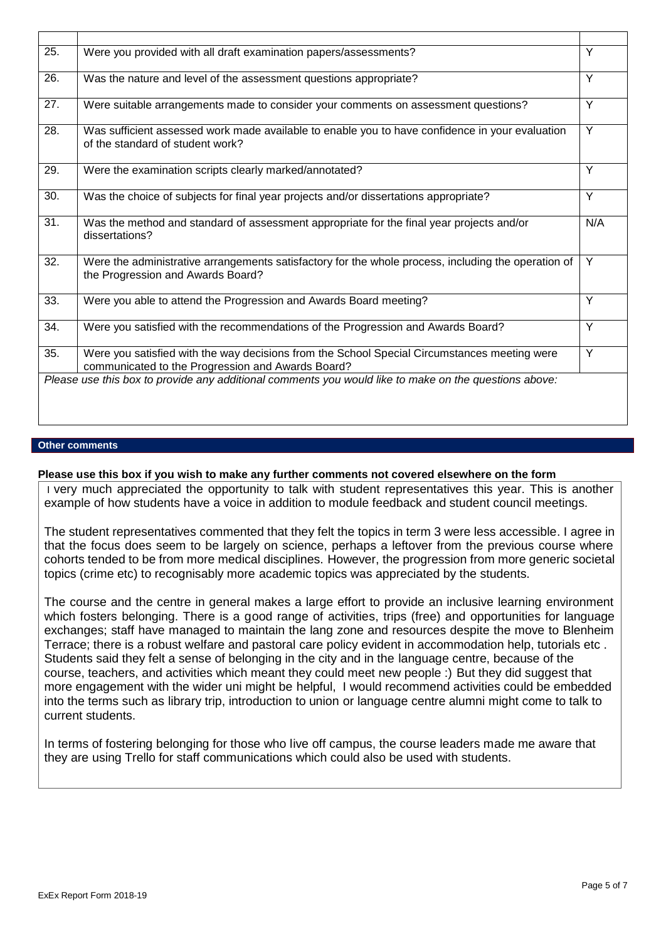| 25. | Were you provided with all draft examination papers/assessments?                                                                                  | Y   |
|-----|---------------------------------------------------------------------------------------------------------------------------------------------------|-----|
| 26. | Was the nature and level of the assessment questions appropriate?                                                                                 | Y   |
| 27. | Were suitable arrangements made to consider your comments on assessment questions?                                                                | Y   |
| 28. | Was sufficient assessed work made available to enable you to have confidence in your evaluation<br>of the standard of student work?               | Y   |
| 29. | Were the examination scripts clearly marked/annotated?                                                                                            | Y   |
| 30. | Was the choice of subjects for final year projects and/or dissertations appropriate?                                                              | Y   |
| 31. | Was the method and standard of assessment appropriate for the final year projects and/or<br>dissertations?                                        | N/A |
| 32. | Were the administrative arrangements satisfactory for the whole process, including the operation of<br>the Progression and Awards Board?          | Y   |
| 33. | Were you able to attend the Progression and Awards Board meeting?                                                                                 | Y   |
| 34. | Were you satisfied with the recommendations of the Progression and Awards Board?                                                                  | Y   |
| 35. | Were you satisfied with the way decisions from the School Special Circumstances meeting were<br>communicated to the Progression and Awards Board? | Y   |
|     | Please use this box to provide any additional comments you would like to make on the questions above:                                             |     |

## **Other comments**

**Please use this box if you wish to make any further comments not covered elsewhere on the form**

I very much appreciated the opportunity to talk with student representatives this year. This is another example of how students have a voice in addition to module feedback and student council meetings.

The student representatives commented that they felt the topics in term 3 were less accessible. I agree in that the focus does seem to be largely on science, perhaps a leftover from the previous course where cohorts tended to be from more medical disciplines. However, the progression from more generic societal topics (crime etc) to recognisably more academic topics was appreciated by the students.

The course and the centre in general makes a large effort to provide an inclusive learning environment which fosters belonging. There is a good range of activities, trips (free) and opportunities for language exchanges; staff have managed to maintain the lang zone and resources despite the move to Blenheim Terrace; there is a robust welfare and pastoral care policy evident in accommodation help, tutorials etc . Students said they felt a sense of belonging in the city and in the language centre, because of the course, teachers, and activities which meant they could meet new people :) But they did suggest that more engagement with the wider uni might be helpful, I would recommend activities could be embedded into the terms such as library trip, introduction to union or language centre alumni might come to talk to current students.

In terms of fostering belonging for those who live off campus, the course leaders made me aware that they are using Trello for staff communications which could also be used with students.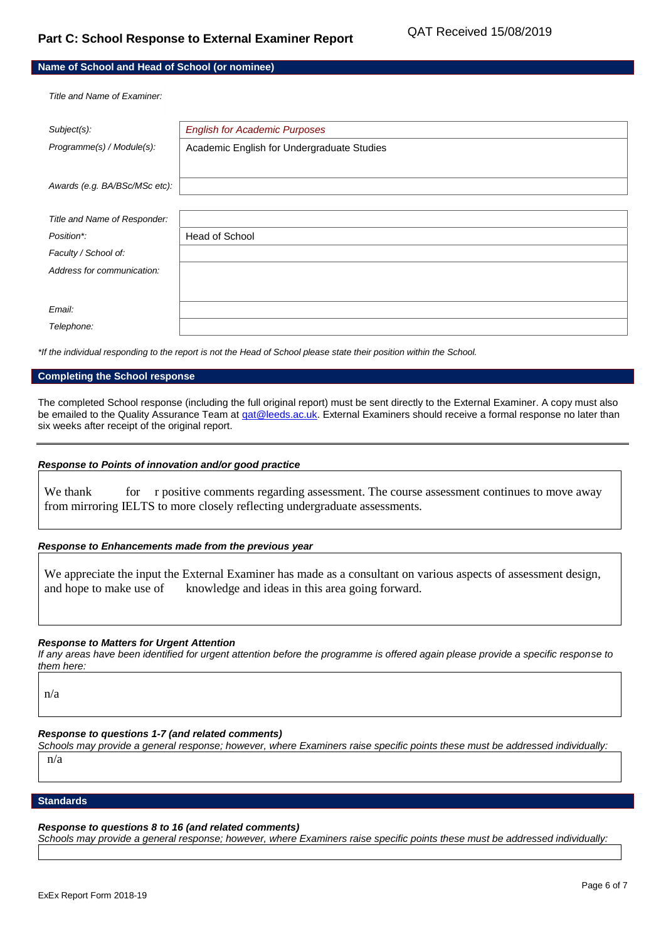| Name of School and Head of School (or nominee) |  |
|------------------------------------------------|--|
|------------------------------------------------|--|

*Title and Name of Examiner:*

| Subject(s):                   | <b>English for Academic Purposes</b>       |
|-------------------------------|--------------------------------------------|
| Programme(s) / Module(s):     | Academic English for Undergraduate Studies |
|                               |                                            |
| Awards (e.g. BA/BSc/MSc etc): |                                            |
|                               |                                            |
| Title and Name of Responder:  |                                            |
| Position*:                    | Head of School                             |
| Faculty / School of:          |                                            |
| Address for communication:    |                                            |
|                               |                                            |
| Email:                        |                                            |
| Telephone:                    |                                            |

*\*If the individual responding to the report is not the Head of School please state their position within the School.*

#### **Completing the School response**

The completed School response (including the full original report) must be sent directly to the External Examiner. A copy must also be emailed to the Quality Assurance Team at gat@leeds.ac.uk. External Examiners should receive a formal response no later than six weeks after receipt of the original report.

#### *Response to Points of innovation and/or good practice*

We thank for r positive comments regarding assessment. The course assessment continues to move away from mirroring IELTS to more closely reflecting undergraduate assessments.

## *Response to Enhancements made from the previous year*

We appreciate the input the External Examiner has made as a consultant on various aspects of assessment design, and hope to make use of knowledge and ideas in this area going forward.

#### *Response to Matters for Urgent Attention*

*If any areas have been identified for urgent attention before the programme is offered again please provide a specific response to them here:*

n/a

#### *Response to questions 1-7 (and related comments)*

*Schools may provide a general response; however, where Examiners raise specific points these must be addressed individually:* n/a

#### **Standards**

#### *Response to questions 8 to 16 (and related comments)*

*Schools may provide a general response; however, where Examiners raise specific points these must be addressed individually:*